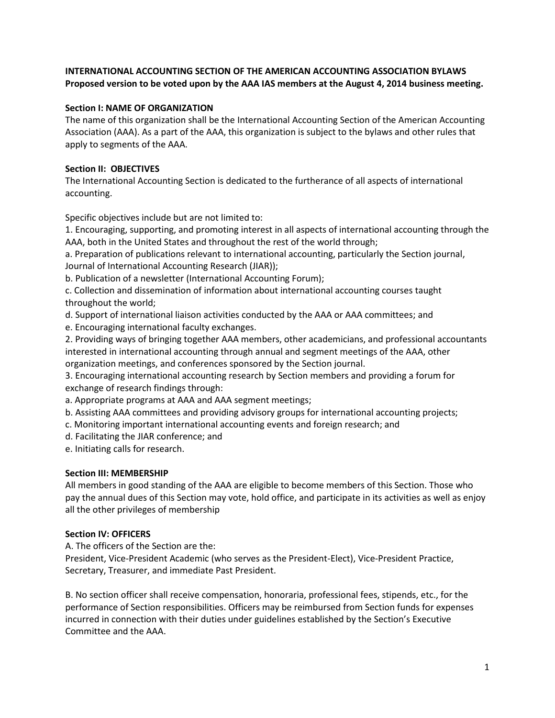# **INTERNATIONAL ACCOUNTING SECTION OF THE AMERICAN ACCOUNTING ASSOCIATION BYLAWS Proposed version to be voted upon by the AAA IAS members at the August 4, 2014 business meeting.**

#### **Section I: NAME OF ORGANIZATION**

The name of this organization shall be the International Accounting Section of the American Accounting Association (AAA). As a part of the AAA, this organization is subject to the bylaws and other rules that apply to segments of the AAA.

## **Section II: OBJECTIVES**

The International Accounting Section is dedicated to the furtherance of all aspects of international accounting.

Specific objectives include but are not limited to:

1. Encouraging, supporting, and promoting interest in all aspects of international accounting through the AAA, both in the United States and throughout the rest of the world through;

a. Preparation of publications relevant to international accounting, particularly the Section journal, Journal of International Accounting Research (JIAR));

b. Publication of a newsletter (International Accounting Forum);

c. Collection and dissemination of information about international accounting courses taught throughout the world;

- d. Support of international liaison activities conducted by the AAA or AAA committees; and
- e. Encouraging international faculty exchanges.

2. Providing ways of bringing together AAA members, other academicians, and professional accountants interested in international accounting through annual and segment meetings of the AAA, other organization meetings, and conferences sponsored by the Section journal.

3. Encouraging international accounting research by Section members and providing a forum for exchange of research findings through:

a. Appropriate programs at AAA and AAA segment meetings;

b. Assisting AAA committees and providing advisory groups for international accounting projects;

- c. Monitoring important international accounting events and foreign research; and
- d. Facilitating the JIAR conference; and
- e. Initiating calls for research.

#### **Section III: MEMBERSHIP**

All members in good standing of the AAA are eligible to become members of this Section. Those who pay the annual dues of this Section may vote, hold office, and participate in its activities as well as enjoy all the other privileges of membership

#### **Section IV: OFFICERS**

A. The officers of the Section are the:

President, Vice-President Academic (who serves as the President-Elect), Vice-President Practice, Secretary, Treasurer, and immediate Past President.

B. No section officer shall receive compensation, honoraria, professional fees, stipends, etc., for the performance of Section responsibilities. Officers may be reimbursed from Section funds for expenses incurred in connection with their duties under guidelines established by the Section's Executive Committee and the AAA.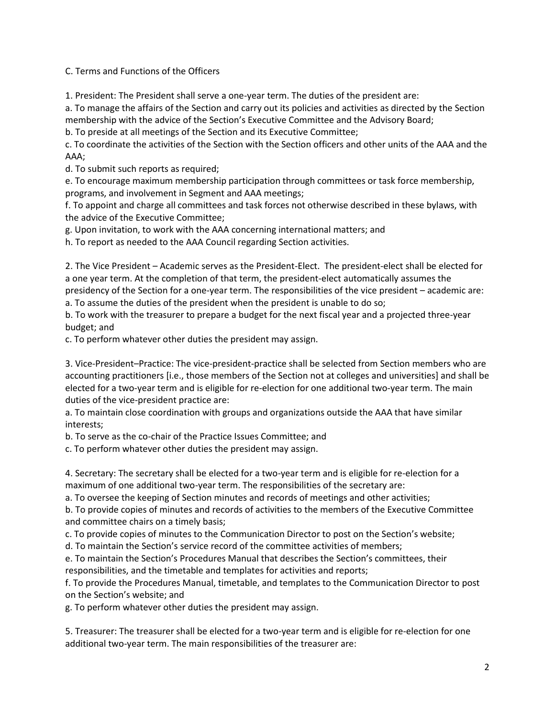C. Terms and Functions of the Officers

1. President: The President shall serve a one-year term. The duties of the president are:

a. To manage the affairs of the Section and carry out its policies and activities as directed by the Section membership with the advice of the Section's Executive Committee and the Advisory Board;

b. To preside at all meetings of the Section and its Executive Committee;

c. To coordinate the activities of the Section with the Section officers and other units of the AAA and the AAA;

d. To submit such reports as required;

e. To encourage maximum membership participation through committees or task force membership, programs, and involvement in Segment and AAA meetings;

f. To appoint and charge all committees and task forces not otherwise described in these bylaws, with the advice of the Executive Committee;

g. Upon invitation, to work with the AAA concerning international matters; and

h. To report as needed to the AAA Council regarding Section activities.

2. The Vice President – Academic serves as the President-Elect. The president-elect shall be elected for a one year term. At the completion of that term, the president-elect automatically assumes the presidency of the Section for a one-year term. The responsibilities of the vice president – academic are:

a. To assume the duties of the president when the president is unable to do so;

b. To work with the treasurer to prepare a budget for the next fiscal year and a projected three-year budget; and

c. To perform whatever other duties the president may assign.

3. Vice-President–Practice: The vice-president-practice shall be selected from Section members who are accounting practitioners [i.e., those members of the Section not at colleges and universities] and shall be elected for a two-year term and is eligible for re-election for one additional two-year term. The main duties of the vice-president practice are:

a. To maintain close coordination with groups and organizations outside the AAA that have similar interests;

b. To serve as the co-chair of the Practice Issues Committee; and

c. To perform whatever other duties the president may assign.

4. Secretary: The secretary shall be elected for a two-year term and is eligible for re-election for a maximum of one additional two-year term. The responsibilities of the secretary are:

a. To oversee the keeping of Section minutes and records of meetings and other activities;

b. To provide copies of minutes and records of activities to the members of the Executive Committee and committee chairs on a timely basis;

c. To provide copies of minutes to the Communication Director to post on the Section's website;

d. To maintain the Section's service record of the committee activities of members;

e. To maintain the Section's Procedures Manual that describes the Section's committees, their responsibilities, and the timetable and templates for activities and reports;

f. To provide the Procedures Manual, timetable, and templates to the Communication Director to post on the Section's website; and

g. To perform whatever other duties the president may assign.

5. Treasurer: The treasurer shall be elected for a two-year term and is eligible for re-election for one additional two-year term. The main responsibilities of the treasurer are: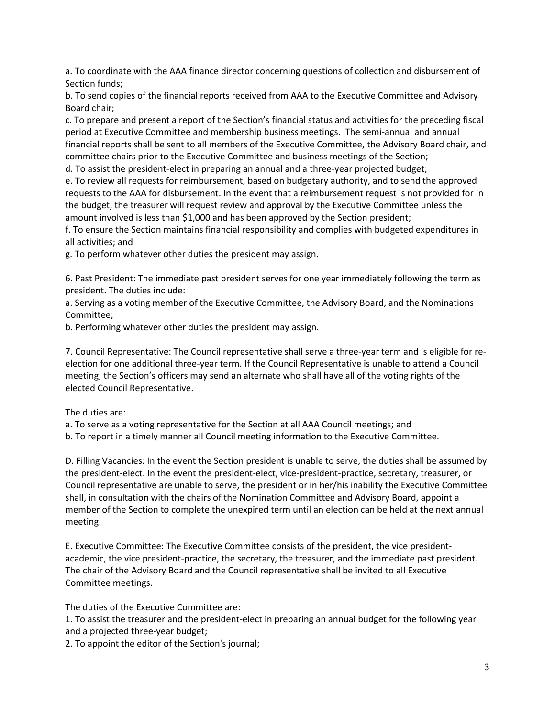a. To coordinate with the AAA finance director concerning questions of collection and disbursement of Section funds;

b. To send copies of the financial reports received from AAA to the Executive Committee and Advisory Board chair;

c. To prepare and present a report of the Section's financial status and activities for the preceding fiscal period at Executive Committee and membership business meetings. The semi-annual and annual financial reports shall be sent to all members of the Executive Committee, the Advisory Board chair, and committee chairs prior to the Executive Committee and business meetings of the Section;

d. To assist the president-elect in preparing an annual and a three-year projected budget;

e. To review all requests for reimbursement, based on budgetary authority, and to send the approved requests to the AAA for disbursement. In the event that a reimbursement request is not provided for in the budget, the treasurer will request review and approval by the Executive Committee unless the amount involved is less than \$1,000 and has been approved by the Section president;

f. To ensure the Section maintains financial responsibility and complies with budgeted expenditures in all activities; and

g. To perform whatever other duties the president may assign.

6. Past President: The immediate past president serves for one year immediately following the term as president. The duties include:

a. Serving as a voting member of the Executive Committee, the Advisory Board, and the Nominations Committee;

b. Performing whatever other duties the president may assign.

7. Council Representative: The Council representative shall serve a three-year term and is eligible for reelection for one additional three-year term. If the Council Representative is unable to attend a Council meeting, the Section's officers may send an alternate who shall have all of the voting rights of the elected Council Representative.

The duties are:

a. To serve as a voting representative for the Section at all AAA Council meetings; and

b. To report in a timely manner all Council meeting information to the Executive Committee.

D. Filling Vacancies: In the event the Section president is unable to serve, the duties shall be assumed by the president-elect. In the event the president-elect, vice-president-practice, secretary, treasurer, or Council representative are unable to serve, the president or in her/his inability the Executive Committee shall, in consultation with the chairs of the Nomination Committee and Advisory Board, appoint a member of the Section to complete the unexpired term until an election can be held at the next annual meeting.

E. Executive Committee: The Executive Committee consists of the president, the vice presidentacademic, the vice president-practice, the secretary, the treasurer, and the immediate past president. The chair of the Advisory Board and the Council representative shall be invited to all Executive Committee meetings.

The duties of the Executive Committee are:

1. To assist the treasurer and the president-elect in preparing an annual budget for the following year and a projected three-year budget;

2. To appoint the editor of the Section's journal;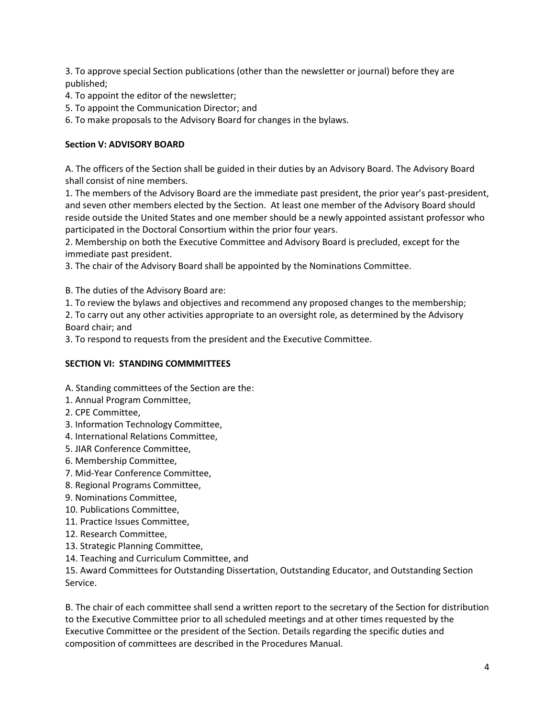3. To approve special Section publications (other than the newsletter or journal) before they are published;

- 4. To appoint the editor of the newsletter;
- 5. To appoint the Communication Director; and
- 6. To make proposals to the Advisory Board for changes in the bylaws.

## **Section V: ADVISORY BOARD**

A. The officers of the Section shall be guided in their duties by an Advisory Board. The Advisory Board shall consist of nine members.

1. The members of the Advisory Board are the immediate past president, the prior year's past-president, and seven other members elected by the Section. At least one member of the Advisory Board should reside outside the United States and one member should be a newly appointed assistant professor who participated in the Doctoral Consortium within the prior four years.

2. Membership on both the Executive Committee and Advisory Board is precluded, except for the immediate past president.

3. The chair of the Advisory Board shall be appointed by the Nominations Committee.

B. The duties of the Advisory Board are:

1. To review the bylaws and objectives and recommend any proposed changes to the membership;

2. To carry out any other activities appropriate to an oversight role, as determined by the Advisory Board chair; and

3. To respond to requests from the president and the Executive Committee.

### **SECTION VI: STANDING COMMMITTEES**

- A. Standing committees of the Section are the:
- 1. Annual Program Committee,
- 2. CPE Committee,
- 3. Information Technology Committee,
- 4. International Relations Committee,
- 5. JIAR Conference Committee,
- 6. Membership Committee,
- 7. Mid-Year Conference Committee,
- 8. Regional Programs Committee,
- 9. Nominations Committee,
- 10. Publications Committee,
- 11. Practice Issues Committee,
- 12. Research Committee,
- 13. Strategic Planning Committee,
- 14. Teaching and Curriculum Committee, and

15. Award Committees for Outstanding Dissertation, Outstanding Educator, and Outstanding Section Service.

B. The chair of each committee shall send a written report to the secretary of the Section for distribution to the Executive Committee prior to all scheduled meetings and at other times requested by the Executive Committee or the president of the Section. Details regarding the specific duties and composition of committees are described in the Procedures Manual.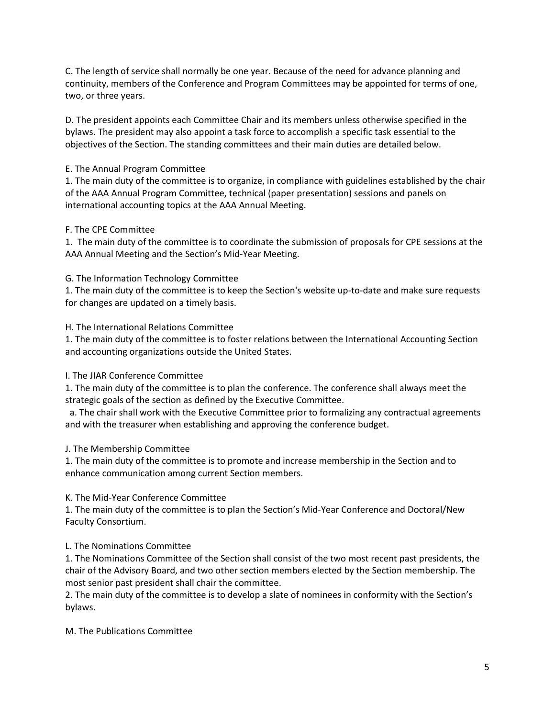C. The length of service shall normally be one year. Because of the need for advance planning and continuity, members of the Conference and Program Committees may be appointed for terms of one, two, or three years.

D. The president appoints each Committee Chair and its members unless otherwise specified in the bylaws. The president may also appoint a task force to accomplish a specific task essential to the objectives of the Section. The standing committees and their main duties are detailed below.

## E. The Annual Program Committee

1. The main duty of the committee is to organize, in compliance with guidelines established by the chair of the AAA Annual Program Committee, technical (paper presentation) sessions and panels on international accounting topics at the AAA Annual Meeting.

### F. The CPE Committee

1. The main duty of the committee is to coordinate the submission of proposals for CPE sessions at the AAA Annual Meeting and the Section's Mid-Year Meeting.

### G. The Information Technology Committee

1. The main duty of the committee is to keep the Section's website up-to-date and make sure requests for changes are updated on a timely basis.

### H. The International Relations Committee

1. The main duty of the committee is to foster relations between the International Accounting Section and accounting organizations outside the United States.

#### I. The JIAR Conference Committee

1. The main duty of the committee is to plan the conference. The conference shall always meet the strategic goals of the section as defined by the Executive Committee.

 a. The chair shall work with the Executive Committee prior to formalizing any contractual agreements and with the treasurer when establishing and approving the conference budget.

#### J. The Membership Committee

1. The main duty of the committee is to promote and increase membership in the Section and to enhance communication among current Section members.

#### K. The Mid-Year Conference Committee

1. The main duty of the committee is to plan the Section's Mid-Year Conference and Doctoral/New Faculty Consortium.

# L. The Nominations Committee

1. The Nominations Committee of the Section shall consist of the two most recent past presidents, the chair of the Advisory Board, and two other section members elected by the Section membership. The most senior past president shall chair the committee.

2. The main duty of the committee is to develop a slate of nominees in conformity with the Section's bylaws.

#### M. The Publications Committee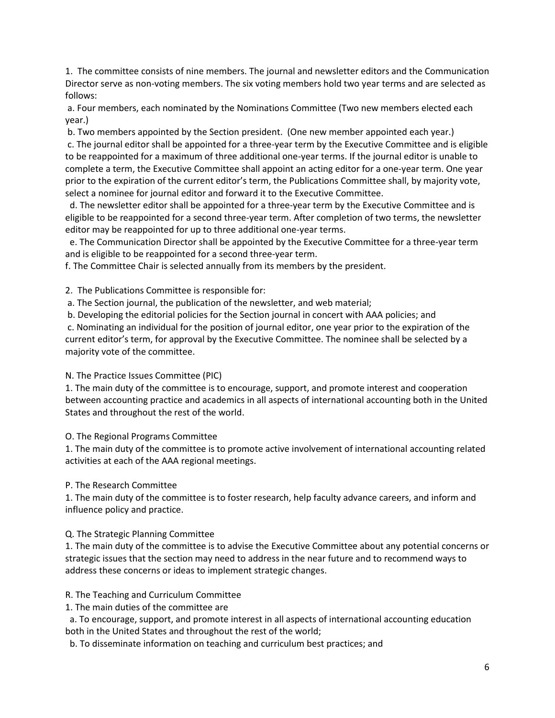1. The committee consists of nine members. The journal and newsletter editors and the Communication Director serve as non-voting members. The six voting members hold two year terms and are selected as follows:

a. Four members, each nominated by the Nominations Committee (Two new members elected each year.)

b. Two members appointed by the Section president. (One new member appointed each year.) c. The journal editor shall be appointed for a three-year term by the Executive Committee and is eligible to be reappointed for a maximum of three additional one-year terms. If the journal editor is unable to complete a term, the Executive Committee shall appoint an acting editor for a one-year term. One year prior to the expiration of the current editor's term, the Publications Committee shall, by majority vote, select a nominee for journal editor and forward it to the Executive Committee.

 d. The newsletter editor shall be appointed for a three-year term by the Executive Committee and is eligible to be reappointed for a second three-year term. After completion of two terms, the newsletter editor may be reappointed for up to three additional one-year terms.

 e. The Communication Director shall be appointed by the Executive Committee for a three-year term and is eligible to be reappointed for a second three-year term.

f. The Committee Chair is selected annually from its members by the president.

2. The Publications Committee is responsible for:

a. The Section journal, the publication of the newsletter, and web material;

b. Developing the editorial policies for the Section journal in concert with AAA policies; and

c. Nominating an individual for the position of journal editor, one year prior to the expiration of the current editor's term, for approval by the Executive Committee. The nominee shall be selected by a majority vote of the committee.

# N. The Practice Issues Committee (PIC)

1. The main duty of the committee is to encourage, support, and promote interest and cooperation between accounting practice and academics in all aspects of international accounting both in the United States and throughout the rest of the world.

# O. The Regional Programs Committee

1. The main duty of the committee is to promote active involvement of international accounting related activities at each of the AAA regional meetings.

# P. The Research Committee

1. The main duty of the committee is to foster research, help faculty advance careers, and inform and influence policy and practice.

# Q. The Strategic Planning Committee

1. The main duty of the committee is to advise the Executive Committee about any potential concerns or strategic issues that the section may need to address in the near future and to recommend ways to address these concerns or ideas to implement strategic changes.

# R. The Teaching and Curriculum Committee

1. The main duties of the committee are

 a. To encourage, support, and promote interest in all aspects of international accounting education both in the United States and throughout the rest of the world;

b. To disseminate information on teaching and curriculum best practices; and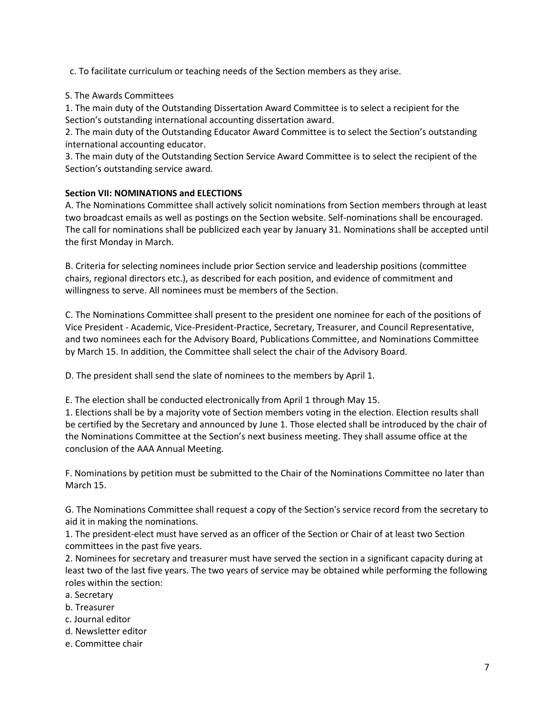c. To facilitate curriculum or teaching needs of the Section members as they arise.

### S. The Awards Committees

1. The main duty of the Outstanding Dissertation Award Committee is to select a recipient for the Section's outstanding international accounting dissertation award.

2. The main duty of the Outstanding Educator Award Committee is to select the Section's outstanding international accounting educator.

3. The main duty of the Outstanding Section Service Award Committee is to select the recipient of the Section's outstanding service award.

### **Section VII: NOMINATIONS and ELECTIONS**

A. The Nominations Committee shall actively solicit nominations from Section members through at least two broadcast emails as well as postings on the Section website. Self-nominations shall be encouraged. The call for nominations shall be publicized each year by January 31. Nominations shall be accepted until the first Monday in March.

B. Criteria for selecting nominees include prior Section service and leadership positions (committee chairs, regional directors etc.), as described for each position, and evidence of commitment and willingness to serve. All nominees must be members of the Section.

C. The Nominations Committee shall present to the president one nominee for each of the positions of Vice President - Academic, Vice-President-Practice, Secretary, Treasurer, and Council Representative, and two nominees each for the Advisory Board, Publications Committee, and Nominations Committee by March 15. In addition, the Committee shall select the chair of the Advisory Board.

D. The president shall send the slate of nominees to the members by April 1.

E. The election shall be conducted electronically from April 1 through May 15.

1. Elections shall be by a majority vote of Section members voting in the election. Election results shall be certified by the Secretary and announced by June 1. Those elected shall be introduced by the chair of the Nominations Committee at the Section's next business meeting. They shall assume office at the conclusion of the AAA Annual Meeting.

F. Nominations by petition must be submitted to the Chair of the Nominations Committee no later than March 15.

G. The Nominations Committee shall request a copy of the Section's service record from the secretary to aid it in making the nominations.

1. The president-elect must have served as an officer of the Section or Chair of at least two Section committees in the past five years.

2. Nominees for secretary and treasurer must have served the section in a significant capacity during at least two of the last five years. The two years of service may be obtained while performing the following roles within the section:

- a. Secretary
- b. Treasurer
- c. Journal editor
- d. Newsletter editor
- e. Committee chair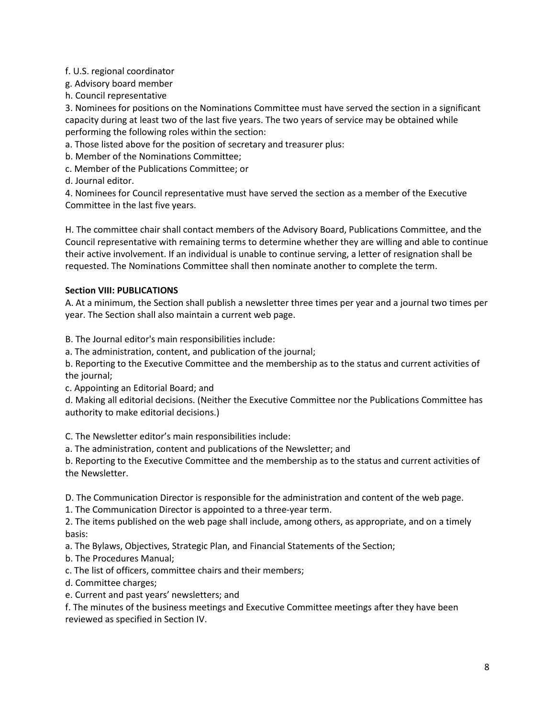### f. U.S. regional coordinator

g. Advisory board member

h. Council representative

3. Nominees for positions on the Nominations Committee must have served the section in a significant capacity during at least two of the last five years. The two years of service may be obtained while performing the following roles within the section:

a. Those listed above for the position of secretary and treasurer plus:

- b. Member of the Nominations Committee;
- c. Member of the Publications Committee; or

d. Journal editor.

4. Nominees for Council representative must have served the section as a member of the Executive Committee in the last five years.

H. The committee chair shall contact members of the Advisory Board, Publications Committee, and the Council representative with remaining terms to determine whether they are willing and able to continue their active involvement. If an individual is unable to continue serving, a letter of resignation shall be requested. The Nominations Committee shall then nominate another to complete the term.

### **Section VIII: PUBLICATIONS**

A. At a minimum, the Section shall publish a newsletter three times per year and a journal two times per year. The Section shall also maintain a current web page.

B. The Journal editor's main responsibilities include:

a. The administration, content, and publication of the journal;

b. Reporting to the Executive Committee and the membership as to the status and current activities of the journal;

c. Appointing an Editorial Board; and

d. Making all editorial decisions. (Neither the Executive Committee nor the Publications Committee has authority to make editorial decisions.)

C. The Newsletter editor's main responsibilities include:

a. The administration, content and publications of the Newsletter; and

b. Reporting to the Executive Committee and the membership as to the status and current activities of the Newsletter.

D. The Communication Director is responsible for the administration and content of the web page.

1. The Communication Director is appointed to a three-year term.

2. The items published on the web page shall include, among others, as appropriate, and on a timely basis:

a. The Bylaws, Objectives, Strategic Plan, and Financial Statements of the Section;

- b. The Procedures Manual;
- c. The list of officers, committee chairs and their members;
- d. Committee charges;
- e. Current and past years' newsletters; and

f. The minutes of the business meetings and Executive Committee meetings after they have been reviewed as specified in Section IV.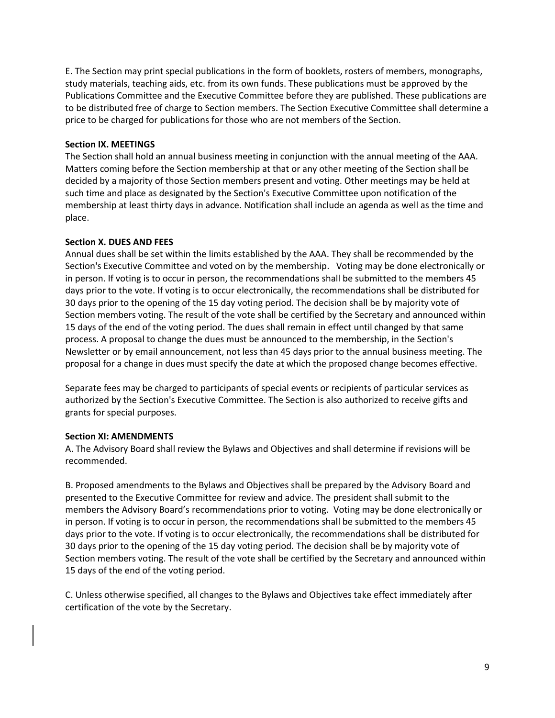E. The Section may print special publications in the form of booklets, rosters of members, monographs, study materials, teaching aids, etc. from its own funds. These publications must be approved by the Publications Committee and the Executive Committee before they are published. These publications are to be distributed free of charge to Section members. The Section Executive Committee shall determine a price to be charged for publications for those who are not members of the Section.

#### **Section IX. MEETINGS**

The Section shall hold an annual business meeting in conjunction with the annual meeting of the AAA. Matters coming before the Section membership at that or any other meeting of the Section shall be decided by a majority of those Section members present and voting. Other meetings may be held at such time and place as designated by the Section's Executive Committee upon notification of the membership at least thirty days in advance. Notification shall include an agenda as well as the time and place.

#### **Section X. DUES AND FEES**

Annual dues shall be set within the limits established by the AAA. They shall be recommended by the Section's Executive Committee and voted on by the membership. Voting may be done electronically or in person. If voting is to occur in person, the recommendations shall be submitted to the members 45 days prior to the vote. If voting is to occur electronically, the recommendations shall be distributed for 30 days prior to the opening of the 15 day voting period. The decision shall be by majority vote of Section members voting. The result of the vote shall be certified by the Secretary and announced within 15 days of the end of the voting period. The dues shall remain in effect until changed by that same process. A proposal to change the dues must be announced to the membership, in the Section's Newsletter or by email announcement, not less than 45 days prior to the annual business meeting. The proposal for a change in dues must specify the date at which the proposed change becomes effective.

Separate fees may be charged to participants of special events or recipients of particular services as authorized by the Section's Executive Committee. The Section is also authorized to receive gifts and grants for special purposes.

#### **Section XI: AMENDMENTS**

A. The Advisory Board shall review the Bylaws and Objectives and shall determine if revisions will be recommended.

B. Proposed amendments to the Bylaws and Objectives shall be prepared by the Advisory Board and presented to the Executive Committee for review and advice. The president shall submit to the members the Advisory Board's recommendations prior to voting. Voting may be done electronically or in person. If voting is to occur in person, the recommendations shall be submitted to the members 45 days prior to the vote. If voting is to occur electronically, the recommendations shall be distributed for 30 days prior to the opening of the 15 day voting period. The decision shall be by majority vote of Section members voting. The result of the vote shall be certified by the Secretary and announced within 15 days of the end of the voting period.

C. Unless otherwise specified, all changes to the Bylaws and Objectives take effect immediately after certification of the vote by the Secretary.